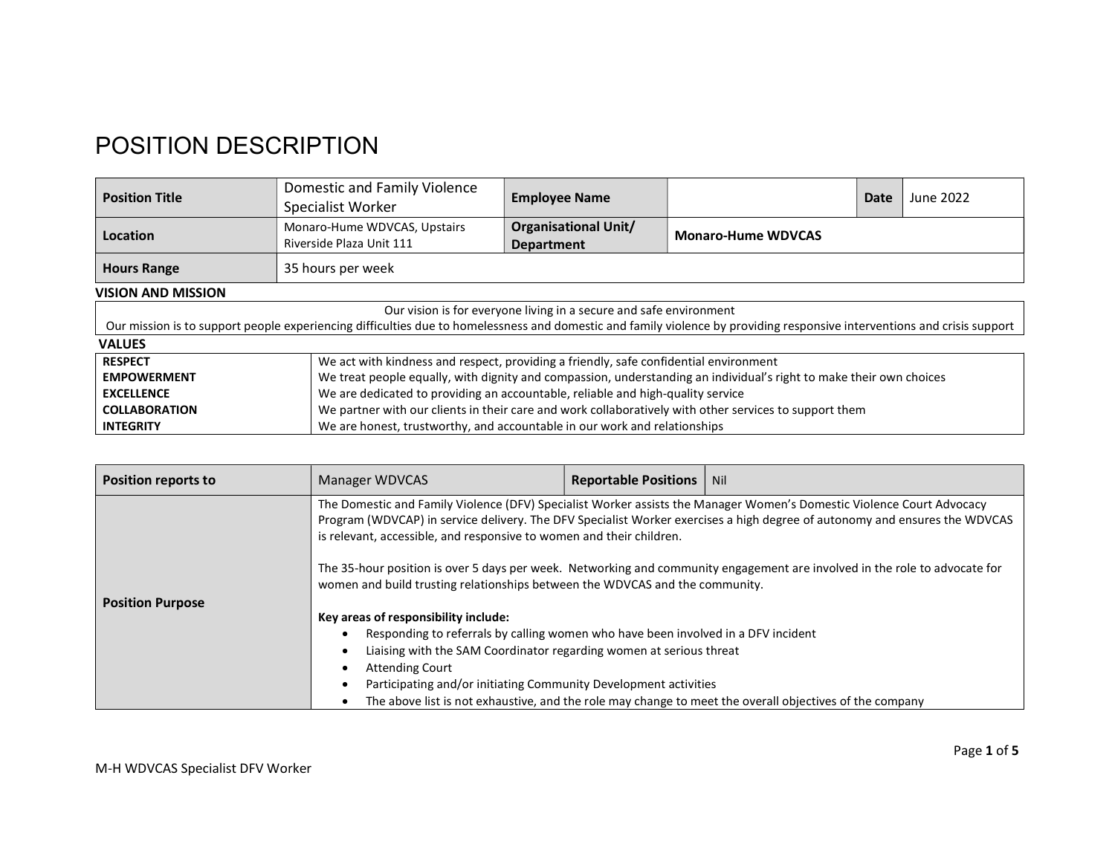## POSITION DESCRIPTION

| <b>Position Title</b>                                                                                                                                                    | Domestic and Family Violence<br>Specialist Worker                                                      | <b>Employee Name</b>                             |                           | Date | June 2022 |
|--------------------------------------------------------------------------------------------------------------------------------------------------------------------------|--------------------------------------------------------------------------------------------------------|--------------------------------------------------|---------------------------|------|-----------|
| Location                                                                                                                                                                 | Monaro-Hume WDVCAS, Upstairs<br>Riverside Plaza Unit 111                                               | <b>Organisational Unit/</b><br><b>Department</b> | <b>Monaro-Hume WDVCAS</b> |      |           |
| <b>Hours Range</b><br>35 hours per week                                                                                                                                  |                                                                                                        |                                                  |                           |      |           |
| <b>VISION AND MISSION</b>                                                                                                                                                |                                                                                                        |                                                  |                           |      |           |
| Our vision is for everyone living in a secure and safe environment                                                                                                       |                                                                                                        |                                                  |                           |      |           |
| Our mission is to support people experiencing difficulties due to homelessness and domestic and family violence by providing responsive interventions and crisis support |                                                                                                        |                                                  |                           |      |           |
| <b>VALUES</b>                                                                                                                                                            |                                                                                                        |                                                  |                           |      |           |
| <b>RESPECT</b>                                                                                                                                                           | We act with kindness and respect, providing a friendly, safe confidential environment                  |                                                  |                           |      |           |
| We treat people equally, with dignity and compassion, understanding an individual's right to make their own choices<br><b>EMPOWERMENT</b>                                |                                                                                                        |                                                  |                           |      |           |
| <b>EXCELLENCE</b>                                                                                                                                                        | We are dedicated to providing an accountable, reliable and high-quality service                        |                                                  |                           |      |           |
| <b>COLLABORATION</b>                                                                                                                                                     | We partner with our clients in their care and work collaboratively with other services to support them |                                                  |                           |      |           |
| <b>INTEGRITY</b>                                                                                                                                                         | We are honest, trustworthy, and accountable in our work and relationships                              |                                                  |                           |      |           |

| <b>Position reports to</b>                                                                                                                                                                    | Manager WDVCAS                                                                                                                                                                                                                                     | <b>Reportable Positions</b> | Nil                                                                                                                        |  |
|-----------------------------------------------------------------------------------------------------------------------------------------------------------------------------------------------|----------------------------------------------------------------------------------------------------------------------------------------------------------------------------------------------------------------------------------------------------|-----------------------------|----------------------------------------------------------------------------------------------------------------------------|--|
| The Domestic and Family Violence (DFV) Specialist Worker assists the Manager Women's Domestic Violence Court Advocacy<br>is relevant, accessible, and responsive to women and their children. |                                                                                                                                                                                                                                                    |                             | Program (WDVCAP) in service delivery. The DFV Specialist Worker exercises a high degree of autonomy and ensures the WDVCAS |  |
| <b>Position Purpose</b>                                                                                                                                                                       | The 35-hour position is over 5 days per week. Networking and community engagement are involved in the role to advocate for<br>women and build trusting relationships between the WDVCAS and the community.<br>Key areas of responsibility include: |                             |                                                                                                                            |  |
|                                                                                                                                                                                               |                                                                                                                                                                                                                                                    |                             |                                                                                                                            |  |
|                                                                                                                                                                                               | Responding to referrals by calling women who have been involved in a DFV incident                                                                                                                                                                  |                             |                                                                                                                            |  |
|                                                                                                                                                                                               | Liaising with the SAM Coordinator regarding women at serious threat                                                                                                                                                                                |                             |                                                                                                                            |  |
|                                                                                                                                                                                               | <b>Attending Court</b>                                                                                                                                                                                                                             |                             |                                                                                                                            |  |
|                                                                                                                                                                                               | Participating and/or initiating Community Development activities                                                                                                                                                                                   |                             |                                                                                                                            |  |
|                                                                                                                                                                                               | The above list is not exhaustive, and the role may change to meet the overall objectives of the company                                                                                                                                            |                             |                                                                                                                            |  |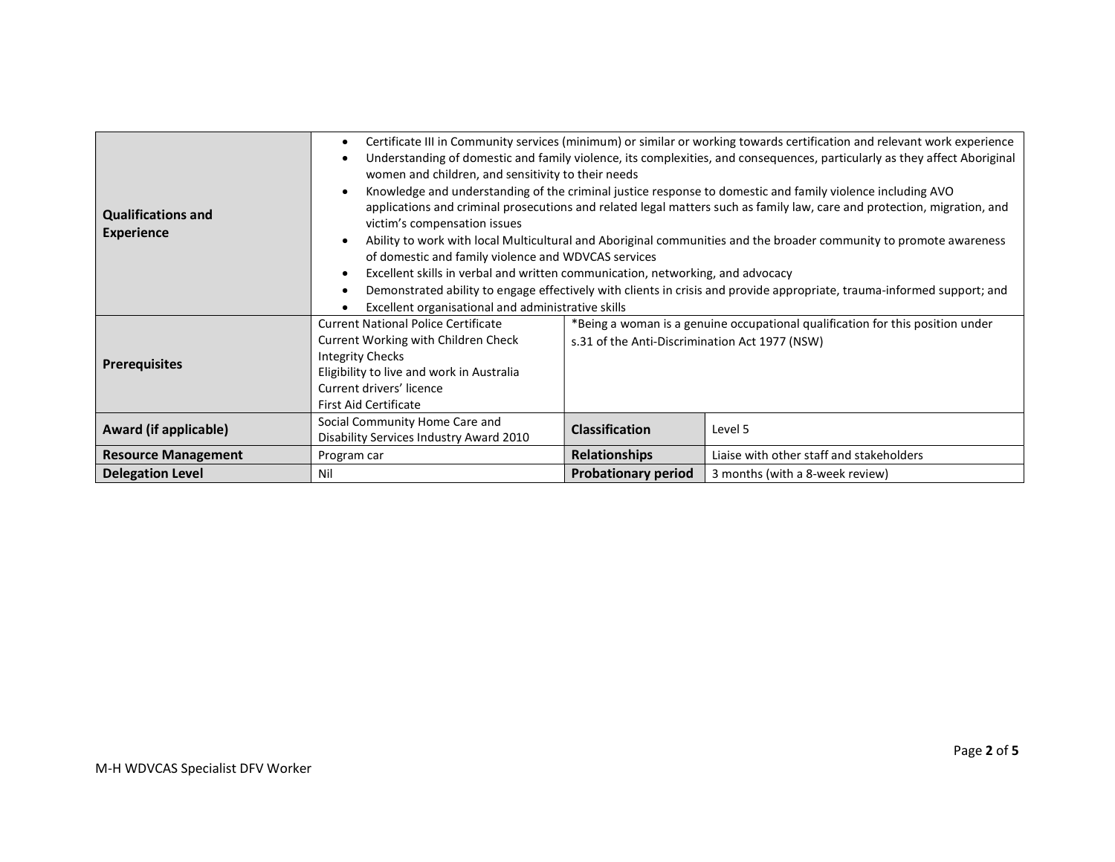| <b>Qualifications and</b><br><b>Experience</b> | Certificate III in Community services (minimum) or similar or working towards certification and relevant work experience<br>Understanding of domestic and family violence, its complexities, and consequences, particularly as they affect Aboriginal<br>women and children, and sensitivity to their needs<br>Knowledge and understanding of the criminal justice response to domestic and family violence including AVO<br>applications and criminal prosecutions and related legal matters such as family law, care and protection, migration, and<br>victim's compensation issues<br>Ability to work with local Multicultural and Aboriginal communities and the broader community to promote awareness<br>of domestic and family violence and WDVCAS services<br>Excellent skills in verbal and written communication, networking, and advocacy<br>Demonstrated ability to engage effectively with clients in crisis and provide appropriate, trauma-informed support; and<br>Excellent organisational and administrative skills |                                                                                                                                  |                                          |
|------------------------------------------------|---------------------------------------------------------------------------------------------------------------------------------------------------------------------------------------------------------------------------------------------------------------------------------------------------------------------------------------------------------------------------------------------------------------------------------------------------------------------------------------------------------------------------------------------------------------------------------------------------------------------------------------------------------------------------------------------------------------------------------------------------------------------------------------------------------------------------------------------------------------------------------------------------------------------------------------------------------------------------------------------------------------------------------------|----------------------------------------------------------------------------------------------------------------------------------|------------------------------------------|
| <b>Prerequisites</b>                           | <b>Current National Police Certificate</b><br>Current Working with Children Check<br><b>Integrity Checks</b><br>Eligibility to live and work in Australia<br>Current drivers' licence<br><b>First Aid Certificate</b>                                                                                                                                                                                                                                                                                                                                                                                                                                                                                                                                                                                                                                                                                                                                                                                                                 | *Being a woman is a genuine occupational qualification for this position under<br>s.31 of the Anti-Discrimination Act 1977 (NSW) |                                          |
| Award (if applicable)                          | Social Community Home Care and<br>Disability Services Industry Award 2010                                                                                                                                                                                                                                                                                                                                                                                                                                                                                                                                                                                                                                                                                                                                                                                                                                                                                                                                                             | <b>Classification</b>                                                                                                            | Level 5                                  |
| <b>Resource Management</b>                     | Program car                                                                                                                                                                                                                                                                                                                                                                                                                                                                                                                                                                                                                                                                                                                                                                                                                                                                                                                                                                                                                           | <b>Relationships</b>                                                                                                             | Liaise with other staff and stakeholders |
| <b>Delegation Level</b>                        | Nil                                                                                                                                                                                                                                                                                                                                                                                                                                                                                                                                                                                                                                                                                                                                                                                                                                                                                                                                                                                                                                   | <b>Probationary period</b>                                                                                                       | 3 months (with a 8-week review)          |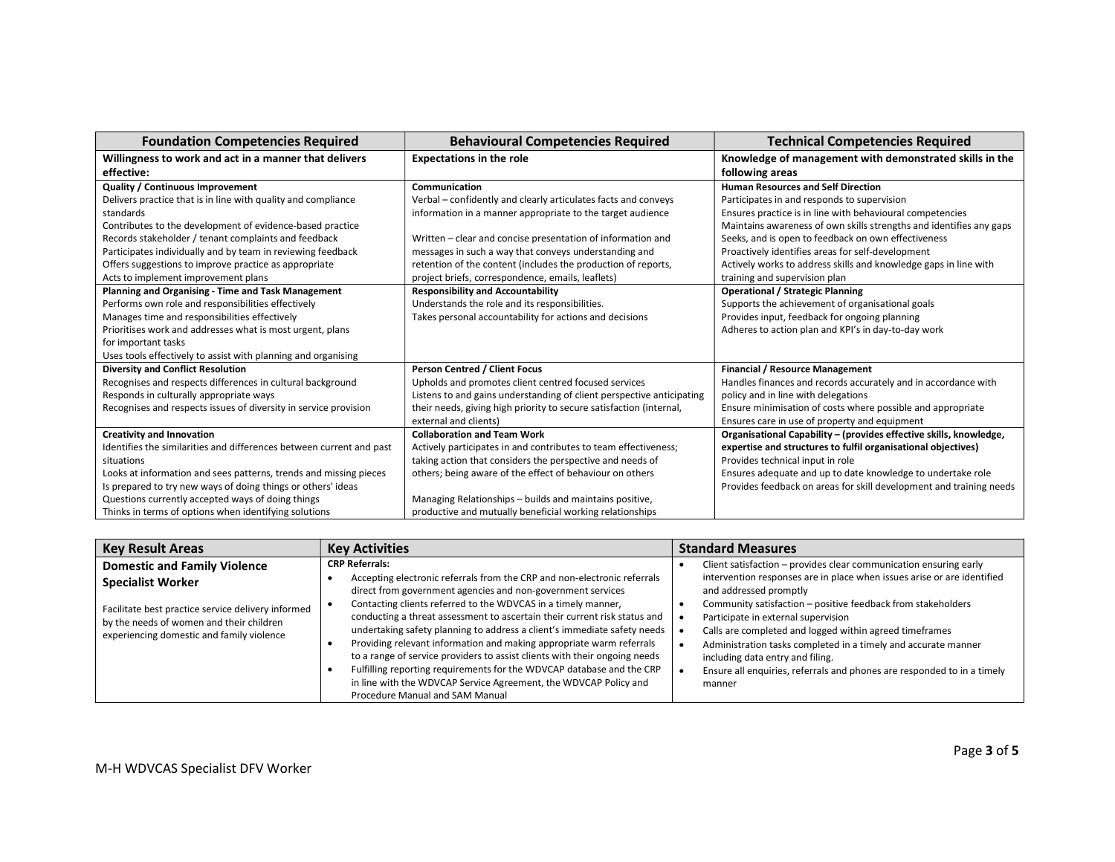| <b>Foundation Competencies Required</b>                              | <b>Behavioural Competencies Required</b>                              | <b>Technical Competencies Required</b>                              |
|----------------------------------------------------------------------|-----------------------------------------------------------------------|---------------------------------------------------------------------|
| Willingness to work and act in a manner that delivers                | <b>Expectations in the role</b>                                       | Knowledge of management with demonstrated skills in the             |
| effective:                                                           |                                                                       | following areas                                                     |
| Quality / Continuous Improvement                                     | Communication                                                         | <b>Human Resources and Self Direction</b>                           |
| Delivers practice that is in line with quality and compliance        | Verbal – confidently and clearly articulates facts and conveys        | Participates in and responds to supervision                         |
| standards                                                            | information in a manner appropriate to the target audience            | Ensures practice is in line with behavioural competencies           |
| Contributes to the development of evidence-based practice            |                                                                       | Maintains awareness of own skills strengths and identifies any gaps |
| Records stakeholder / tenant complaints and feedback                 | Written – clear and concise presentation of information and           | Seeks, and is open to feedback on own effectiveness                 |
| Participates individually and by team in reviewing feedback          | messages in such a way that conveys understanding and                 | Proactively identifies areas for self-development                   |
| Offers suggestions to improve practice as appropriate                | retention of the content (includes the production of reports,         | Actively works to address skills and knowledge gaps in line with    |
| Acts to implement improvement plans                                  | project briefs, correspondence, emails, leaflets)                     | training and supervision plan                                       |
| Planning and Organising - Time and Task Management                   | <b>Responsibility and Accountability</b>                              | <b>Operational / Strategic Planning</b>                             |
| Performs own role and responsibilities effectively                   | Understands the role and its responsibilities.                        | Supports the achievement of organisational goals                    |
| Manages time and responsibilities effectively                        | Takes personal accountability for actions and decisions               | Provides input, feedback for ongoing planning                       |
| Prioritises work and addresses what is most urgent, plans            |                                                                       | Adheres to action plan and KPI's in day-to-day work                 |
| for important tasks                                                  |                                                                       |                                                                     |
| Uses tools effectively to assist with planning and organising        |                                                                       |                                                                     |
| <b>Diversity and Conflict Resolution</b>                             | <b>Person Centred / Client Focus</b>                                  | <b>Financial / Resource Management</b>                              |
| Recognises and respects differences in cultural background           | Upholds and promotes client centred focused services                  | Handles finances and records accurately and in accordance with      |
| Responds in culturally appropriate ways                              | Listens to and gains understanding of client perspective anticipating | policy and in line with delegations                                 |
| Recognises and respects issues of diversity in service provision     | their needs, giving high priority to secure satisfaction (internal,   | Ensure minimisation of costs where possible and appropriate         |
|                                                                      | external and clients)                                                 | Ensures care in use of property and equipment                       |
| <b>Creativity and Innovation</b>                                     | <b>Collaboration and Team Work</b>                                    | Organisational Capability - (provides effective skills, knowledge,  |
| Identifies the similarities and differences between current and past | Actively participates in and contributes to team effectiveness;       | expertise and structures to fulfil organisational objectives)       |
| situations                                                           | taking action that considers the perspective and needs of             | Provides technical input in role                                    |
| Looks at information and sees patterns, trends and missing pieces    | others; being aware of the effect of behaviour on others              | Ensures adequate and up to date knowledge to undertake role         |
| Is prepared to try new ways of doing things or others' ideas         |                                                                       | Provides feedback on areas for skill development and training needs |
| Questions currently accepted ways of doing things                    | Managing Relationships - builds and maintains positive,               |                                                                     |
| Thinks in terms of options when identifying solutions                | productive and mutually beneficial working relationships              |                                                                     |

| <b>Key Result Areas</b>                                                                                                                                                 | <b>Key Activities</b>                                                                                                                                                                                                                                                                                                                                                                                                                                                                                                                                                                                                                                                                                   | <b>Standard Measures</b>                                                                                                                                                                                                                                                                                                                                                                                                                                       |
|-------------------------------------------------------------------------------------------------------------------------------------------------------------------------|---------------------------------------------------------------------------------------------------------------------------------------------------------------------------------------------------------------------------------------------------------------------------------------------------------------------------------------------------------------------------------------------------------------------------------------------------------------------------------------------------------------------------------------------------------------------------------------------------------------------------------------------------------------------------------------------------------|----------------------------------------------------------------------------------------------------------------------------------------------------------------------------------------------------------------------------------------------------------------------------------------------------------------------------------------------------------------------------------------------------------------------------------------------------------------|
| <b>Domestic and Family Violence</b>                                                                                                                                     | <b>CRP Referrals:</b>                                                                                                                                                                                                                                                                                                                                                                                                                                                                                                                                                                                                                                                                                   | Client satisfaction - provides clear communication ensuring early                                                                                                                                                                                                                                                                                                                                                                                              |
| <b>Specialist Worker</b><br>Facilitate best practice service delivery informed<br>by the needs of women and their children<br>experiencing domestic and family violence | Accepting electronic referrals from the CRP and non-electronic referrals<br>direct from government agencies and non-government services<br>Contacting clients referred to the WDVCAS in a timely manner,<br>conducting a threat assessment to ascertain their current risk status and<br>undertaking safety planning to address a client's immediate safety needs<br>Providing relevant information and making appropriate warm referrals<br>to a range of service providers to assist clients with their ongoing needs<br>Fulfilling reporting requirements for the WDVCAP database and the CRP<br>in line with the WDVCAP Service Agreement, the WDVCAP Policy and<br>Procedure Manual and SAM Manual | intervention responses are in place when issues arise or are identified<br>and addressed promptly<br>Community satisfaction - positive feedback from stakeholders<br>Participate in external supervision<br>Calls are completed and logged within agreed timeframes<br>Administration tasks completed in a timely and accurate manner<br>including data entry and filing.<br>Ensure all enguiries, referrals and phones are responded to in a timely<br>manner |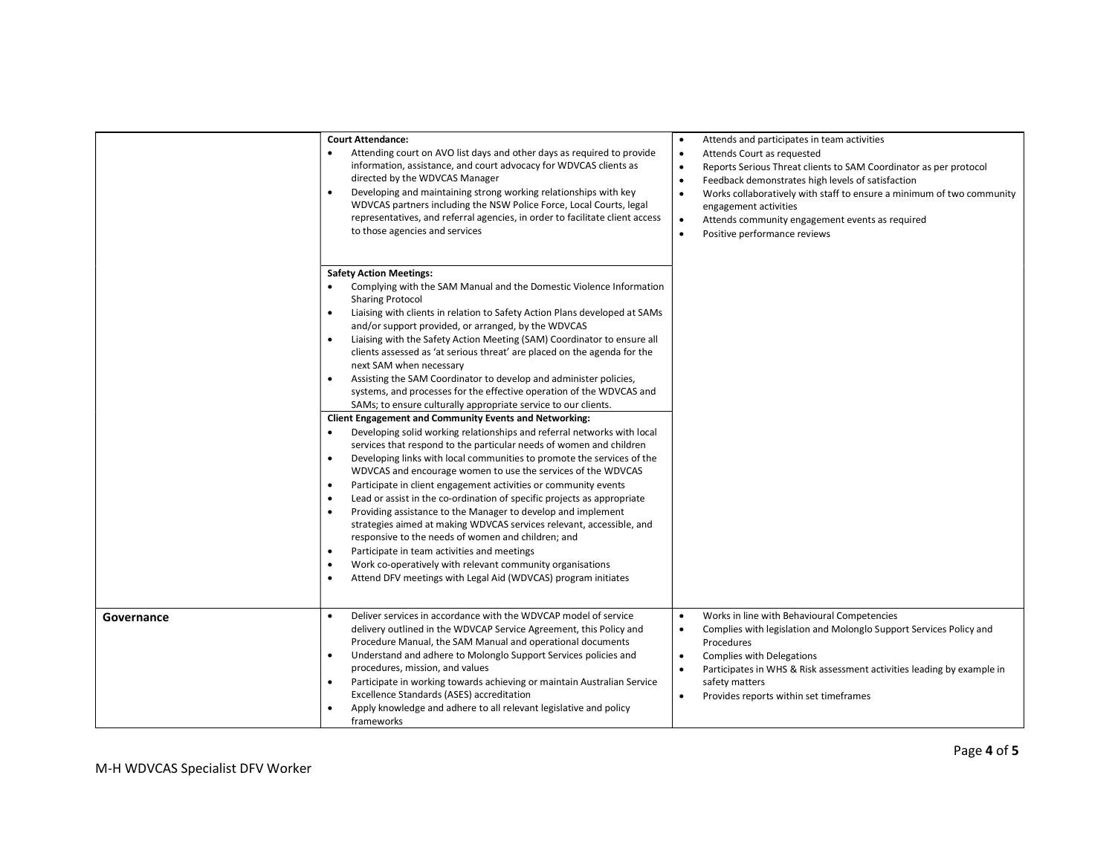|            | <b>Court Attendance:</b><br>Attending court on AVO list days and other days as required to provide<br>$\bullet$<br>information, assistance, and court advocacy for WDVCAS clients as<br>directed by the WDVCAS Manager<br>Developing and maintaining strong working relationships with key<br>$\bullet$<br>WDVCAS partners including the NSW Police Force, Local Courts, legal<br>representatives, and referral agencies, in order to facilitate client access<br>to those agencies and services                                                                                                                                                                                                                                                                                                                                                                                                                                              | Attends and participates in team activities<br>$\bullet$<br>Attends Court as requested<br>$\bullet$<br>Reports Serious Threat clients to SAM Coordinator as per protocol<br>$\bullet$<br>Feedback demonstrates high levels of satisfaction<br>$\bullet$<br>$\bullet$<br>Works collaboratively with staff to ensure a minimum of two community<br>engagement activities<br>Attends community engagement events as required<br>$\bullet$<br>$\bullet$<br>Positive performance reviews |
|------------|-----------------------------------------------------------------------------------------------------------------------------------------------------------------------------------------------------------------------------------------------------------------------------------------------------------------------------------------------------------------------------------------------------------------------------------------------------------------------------------------------------------------------------------------------------------------------------------------------------------------------------------------------------------------------------------------------------------------------------------------------------------------------------------------------------------------------------------------------------------------------------------------------------------------------------------------------|-------------------------------------------------------------------------------------------------------------------------------------------------------------------------------------------------------------------------------------------------------------------------------------------------------------------------------------------------------------------------------------------------------------------------------------------------------------------------------------|
|            | <b>Safety Action Meetings:</b><br>Complying with the SAM Manual and the Domestic Violence Information<br><b>Sharing Protocol</b><br>$\bullet$<br>Liaising with clients in relation to Safety Action Plans developed at SAMs<br>and/or support provided, or arranged, by the WDVCAS<br>Liaising with the Safety Action Meeting (SAM) Coordinator to ensure all<br>$\bullet$<br>clients assessed as 'at serious threat' are placed on the agenda for the<br>next SAM when necessary<br>Assisting the SAM Coordinator to develop and administer policies,<br>$\bullet$<br>systems, and processes for the effective operation of the WDVCAS and<br>SAMs; to ensure culturally appropriate service to our clients.<br><b>Client Engagement and Community Events and Networking:</b><br>Developing solid working relationships and referral networks with local<br>$\bullet$<br>services that respond to the particular needs of women and children |                                                                                                                                                                                                                                                                                                                                                                                                                                                                                     |
|            | Developing links with local communities to promote the services of the<br>$\bullet$<br>WDVCAS and encourage women to use the services of the WDVCAS<br>Participate in client engagement activities or community events<br>$\bullet$<br>Lead or assist in the co-ordination of specific projects as appropriate<br>$\bullet$<br>Providing assistance to the Manager to develop and implement<br>$\bullet$<br>strategies aimed at making WDVCAS services relevant, accessible, and<br>responsive to the needs of women and children; and<br>Participate in team activities and meetings<br>$\bullet$<br>Work co-operatively with relevant community organisations<br>$\bullet$<br>Attend DFV meetings with Legal Aid (WDVCAS) program initiates<br>$\bullet$                                                                                                                                                                                    |                                                                                                                                                                                                                                                                                                                                                                                                                                                                                     |
| Governance | Deliver services in accordance with the WDVCAP model of service<br>$\bullet$<br>delivery outlined in the WDVCAP Service Agreement, this Policy and<br>Procedure Manual, the SAM Manual and operational documents<br>Understand and adhere to Molonglo Support Services policies and<br>$\bullet$<br>procedures, mission, and values<br>Participate in working towards achieving or maintain Australian Service<br>$\bullet$<br>Excellence Standards (ASES) accreditation<br>Apply knowledge and adhere to all relevant legislative and policy<br>$\bullet$<br>frameworks                                                                                                                                                                                                                                                                                                                                                                      | Works in line with Behavioural Competencies<br>$\bullet$<br>Complies with legislation and Molonglo Support Services Policy and<br>$\bullet$<br>Procedures<br><b>Complies with Delegations</b><br>$\bullet$<br>Participates in WHS & Risk assessment activities leading by example in<br>$\bullet$<br>safety matters<br>Provides reports within set timeframes<br>$\bullet$                                                                                                          |